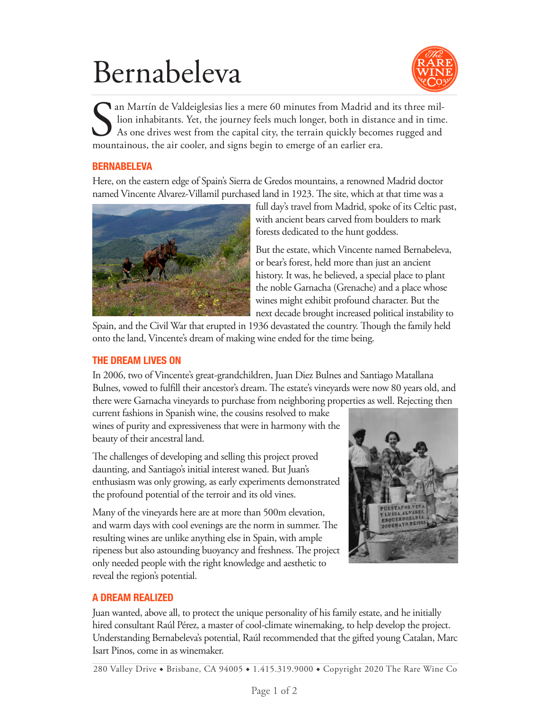## Bernabeleva



San Martín de Valdeiglesias lies a mere 60 minutes from Madrid an lion inhabitants. Yet, the journey feels much longer, both in distant As one drives west from the capital city, the terrain quickly becommountainous, the ai an Martín de Valdeiglesias lies a mere 60 minutes from Madrid and its three mil lion inhabitants. Yet, the journey feels much longer, both in distance and in time. As one drives west from the capital city, the terrain quickly becomes rugged and

#### **BERNABELEVA**

Here, on the eastern edge of Spain's Sierra de Gredos mountains, a renowned Madrid doctor named Vincente Alvarez-Villamil purchased land in 1923. The site, which at that time was a



full day's travel from Madrid, spoke of its Celtic past, with ancient bears carved from boulders to mark forests dedicated to the hunt goddess.

But the estate, which Vincente named Bernabeleva, or bear's forest, held more than just an ancient history. It was, he believed, a special place to plant the noble Garnacha (Grenache) and a place whose wines might exhibit profound character. But the next decade brought increased political instability to

Spain, and the Civil War that erupted in 1936 devastated the country. Though the family held onto the land, Vincente's dream of making wine ended for the time being.

#### **THE DREAM LIVES ON**

In 2006, two of Vincente's great-grandchildren, Juan Diez Bulnes and Santiago Matallana Bulnes, vowed to fulfill their ancestor's dream. The estate's vineyards were now 80 years old, and there were Garnacha vineyards to purchase from neighboring properties as well. Rejecting then

current fashions in Spanish wine, the cousins resolved to make wines of purity and expressiveness that were in harmony with the beauty of their ancestral land.

The challenges of developing and selling this project proved daunting, and Santiago's initial interest waned. But Juan's enthusiasm was only growing, as early experiments demonstrated the profound potential of the terroir and its old vines.

Many of the vineyards here are at more than 500m elevation, and warm days with cool evenings are the norm in summer. The resulting wines are unlike anything else in Spain, with ample ripeness but also astounding buoyancy and freshness. The project only needed people with the right knowledge and aesthetic to reveal the region's potential.



## **A DREAM REALIZED**

Juan wanted, above all, to protect the unique personality of his family estate, and he initially hired consultant Raúl Pérez, a master of cool-climate winemaking, to help develop the project. Understanding Bernabeleva's potential, Raúl recommended that the gifted young Catalan, Marc Isart Pinos, come in as winemaker.